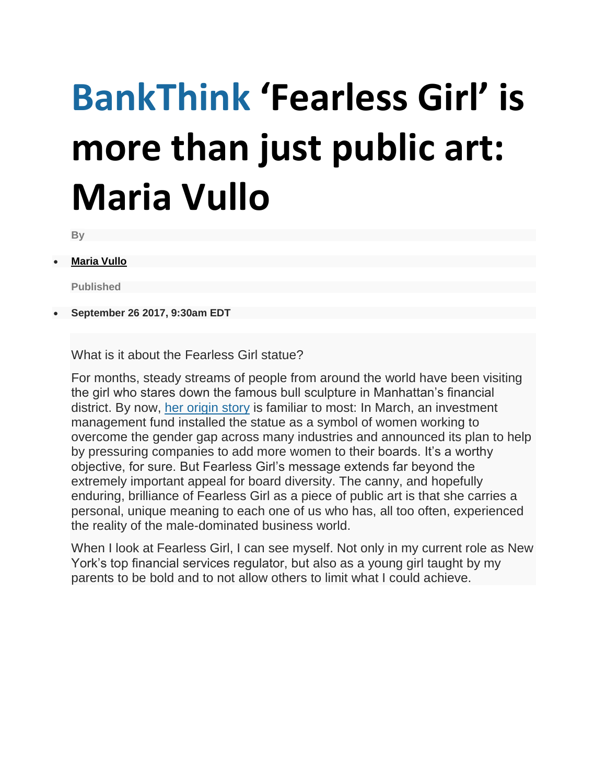## **BankThink 'Fearless Girl' is more than just public art: Maria Vullo**

**By**

**[Maria Vullo](https://www.americanbanker.com/author/maria-vullo)**

**Published**

**September 26 2017, 9:30am EDT**

What is it about the Fearless Girl statue?

For months, steady streams of people from around the world have been visiting the girl who stares down the famous bull sculpture in Manhattan's financial district. By now, [her origin story](https://www.americanbanker.com/video/state-streets-fearless-girl-statue-is-a-call-to-arms) is familiar to most: In March, an investment management fund installed the statue as a symbol of women working to overcome the gender gap across many industries and announced its plan to help by pressuring companies to add more women to their boards. It's a worthy objective, for sure. But Fearless Girl's message extends far beyond the extremely important appeal for board diversity. The canny, and hopefully enduring, brilliance of Fearless Girl as a piece of public art is that she carries a personal, unique meaning to each one of us who has, all too often, experienced the reality of the male-dominated business world.

When I look at Fearless Girl, I can see myself. Not only in my current role as New York's top financial services regulator, but also as a young girl taught by my parents to be bold and to not allow others to limit what I could achieve.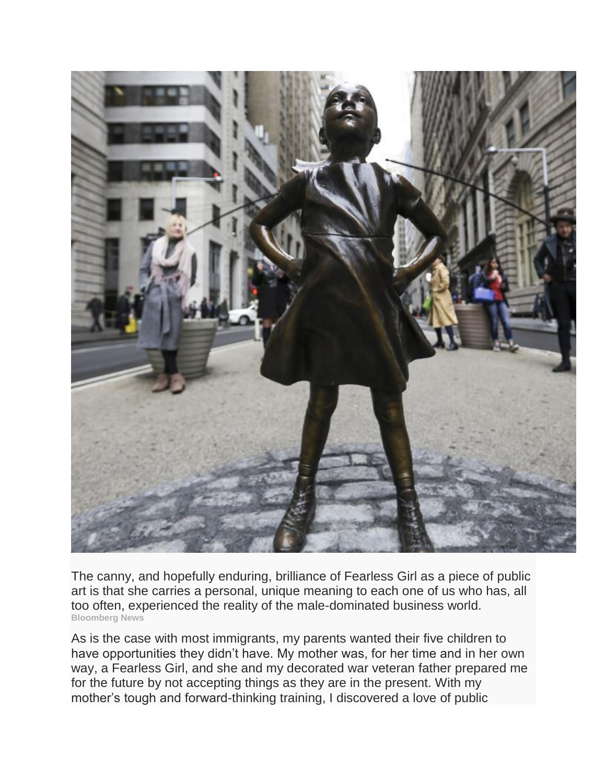

The canny, and hopefully enduring, brilliance of Fearless Girl as a piece of public art is that she carries a personal, unique meaning to each one of us who has, all too often, experienced the reality of the male-dominated business world. **Bloomberg News**

As is the case with most immigrants, my parents wanted their five children to have opportunities they didn't have. My mother was, for her time and in her own way, a Fearless Girl, and she and my decorated war veteran father prepared me for the future by not accepting things as they are in the present. With my mother's tough and forward-thinking training, I discovered a love of public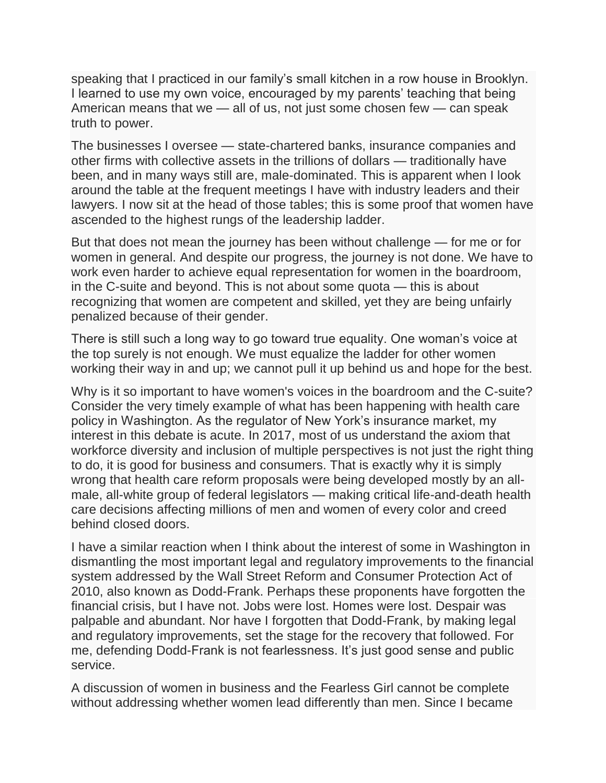speaking that I practiced in our family's small kitchen in a row house in Brooklyn. I learned to use my own voice, encouraged by my parents' teaching that being American means that we — all of us, not just some chosen few — can speak truth to power.

The businesses I oversee — state-chartered banks, insurance companies and other firms with collective assets in the trillions of dollars — traditionally have been, and in many ways still are, male-dominated. This is apparent when I look around the table at the frequent meetings I have with industry leaders and their lawyers. I now sit at the head of those tables; this is some proof that women have ascended to the highest rungs of the leadership ladder.

But that does not mean the journey has been without challenge — for me or for women in general. And despite our progress, the journey is not done. We have to work even harder to achieve equal representation for women in the boardroom, in the C-suite and beyond. This is not about some quota — this is about recognizing that women are competent and skilled, yet they are being unfairly penalized because of their gender.

There is still such a long way to go toward true equality. One woman's voice at the top surely is not enough. We must equalize the ladder for other women working their way in and up; we cannot pull it up behind us and hope for the best.

Why is it so important to have women's voices in the boardroom and the C-suite? Consider the very timely example of what has been happening with health care policy in Washington. As the regulator of New York's insurance market, my interest in this debate is acute. In 2017, most of us understand the axiom that workforce diversity and inclusion of multiple perspectives is not just the right thing to do, it is good for business and consumers. That is exactly why it is simply wrong that health care reform proposals were being developed mostly by an allmale, all-white group of federal legislators — making critical life-and-death health care decisions affecting millions of men and women of every color and creed behind closed doors.

I have a similar reaction when I think about the interest of some in Washington in dismantling the most important legal and regulatory improvements to the financial system addressed by the Wall Street Reform and Consumer Protection Act of 2010, also known as Dodd-Frank. Perhaps these proponents have forgotten the financial crisis, but I have not. Jobs were lost. Homes were lost. Despair was palpable and abundant. Nor have I forgotten that Dodd-Frank, by making legal and regulatory improvements, set the stage for the recovery that followed. For me, defending Dodd-Frank is not fearlessness. It's just good sense and public service.

A discussion of women in business and the Fearless Girl cannot be complete without addressing whether women lead differently than men. Since I became